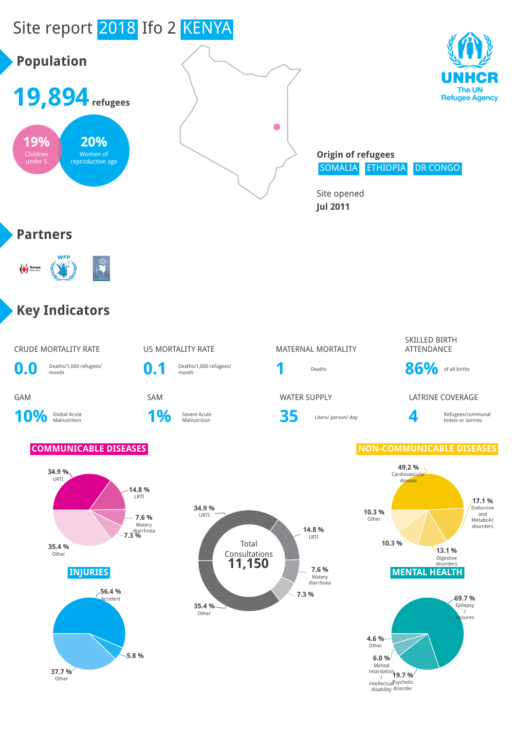

**37.7 %** Other

**19.7 %** intellectual <sup>Sychotic</sup> disability <sup>disorder</sup> Mental<br>|retardation<br>|<br>|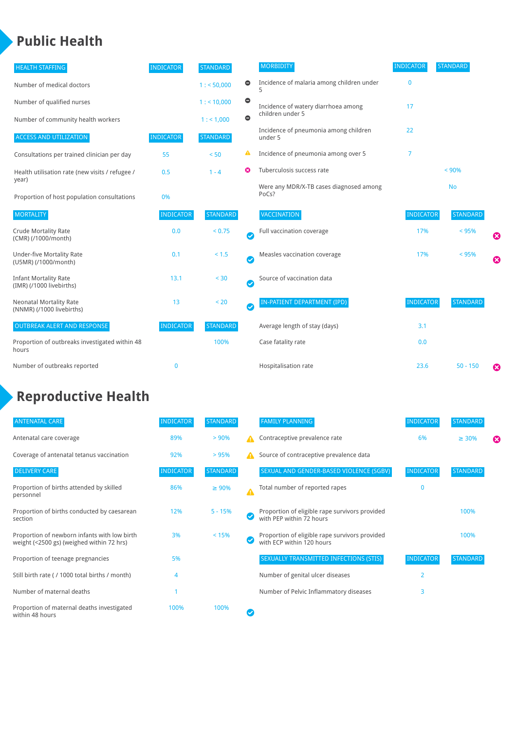### **Public Health**

| <b>HEALTH STAFFING</b>                                      | <b>INDICATOR</b> | <b>STANDARD</b> |           | <b>MORBIDITY</b>                                 | <b>INDICATOR</b> | <b>STANDARD</b> |   |
|-------------------------------------------------------------|------------------|-----------------|-----------|--------------------------------------------------|------------------|-----------------|---|
| Number of medical doctors                                   |                  | 1: 50,000       | $\bullet$ | Incidence of malaria among children under        | $\bf{0}$         |                 |   |
| Number of qualified nurses                                  |                  | $1:$ < 10,000   | $\bullet$ | Incidence of watery diarrhoea among              | 17               |                 |   |
| Number of community health workers                          |                  | 1:1,000         | $\bullet$ | children under 5                                 |                  |                 |   |
| <b>ACCESS AND UTILIZATION</b>                               | <b>INDICATOR</b> | <b>STANDARD</b> |           | Incidence of pneumonia among children<br>under 5 | 22               |                 |   |
| Consultations per trained clinician per day                 | 55               | < 50            | ▲         | Incidence of pneumonia among over 5              | $\overline{7}$   |                 |   |
| Health utilisation rate (new visits / refugee /             | 0.5              | $1 - 4$         | ೞ         | Tuberculosis success rate                        |                  | < 90%           |   |
| year)<br>Proportion of host population consultations        | 0%               |                 |           | Were any MDR/X-TB cases diagnosed among<br>PoCs? |                  | <b>No</b>       |   |
| <b>MORTALITY</b>                                            | <b>INDICATOR</b> | <b>STANDARD</b> |           | <b>VACCINATION</b>                               | <b>INDICATOR</b> | <b>STANDARD</b> |   |
| <b>Crude Mortality Rate</b><br>(CMR) (/1000/month)          | 0.0              | < 0.75          | Ø         | Full vaccination coverage                        | 17%              | < 95%           | Ø |
| <b>Under-five Mortality Rate</b><br>(U5MR) (/1000/month)    | 0.1              | < 1.5           | Ø         | Measles vaccination coverage                     | 17%              | < 95%           | Ø |
| <b>Infant Mortality Rate</b><br>(IMR) (/1000 livebirths)    | 13.1             | < 30            | Ø         | Source of vaccination data                       |                  |                 |   |
| <b>Neonatal Mortality Rate</b><br>(NNMR) (/1000 livebirths) | 13               | < 20            | Ø         | IN-PATIENT DEPARTMENT (IPD)                      | <b>INDICATOR</b> | <b>STANDARD</b> |   |
| <b>OUTBREAK ALERT AND RESPONSE</b>                          | <b>INDICATOR</b> | <b>STANDARD</b> |           | Average length of stay (days)                    | 3.1              |                 |   |
| Proportion of outbreaks investigated within 48<br>hours     |                  | 100%            |           | Case fatality rate                               | 0.0              |                 |   |
| Number of outbreaks reported                                | 0                |                 |           | Hospitalisation rate                             | 23.6             | $50 - 150$      | ೞ |

## **Reproductive Health**

| <b>ANTENATAL CARE</b>                                                                     | <b>INDICATOR</b> | <b>STANDARD</b> |                  | <b>FAMILY PLANNING</b>                                                      | <b>INDICATOR</b> | <b>STANDARD</b> |   |
|-------------------------------------------------------------------------------------------|------------------|-----------------|------------------|-----------------------------------------------------------------------------|------------------|-----------------|---|
| Antenatal care coverage                                                                   | 89%              | > 90%           |                  | Contraceptive prevalence rate                                               | 6%               | $\geq 30\%$     | ⊠ |
| Coverage of antenatal tetanus vaccination                                                 | 92%              | >95%            | А                | Source of contraceptive prevalence data                                     |                  |                 |   |
| <b>DELIVERY CARE</b>                                                                      | <b>INDICATOR</b> | <b>STANDARD</b> |                  | SEXUAL AND GENDER-BASED VIOLENCE (SGBV)                                     | <b>INDICATOR</b> | <b>STANDARD</b> |   |
| Proportion of births attended by skilled<br>personnel                                     | 86%              | $\geq 90\%$     | $\blacktriangle$ | Total number of reported rapes                                              | O                |                 |   |
| Proportion of births conducted by caesarean<br>section                                    | 12%              | $5 - 15%$       |                  | Proportion of eligible rape survivors provided<br>with PEP within 72 hours  |                  | 100%            |   |
| Proportion of newborn infants with low birth<br>weight (<2500 gs) (weighed within 72 hrs) | 3%               | < 15%           |                  | Proportion of eligible rape survivors provided<br>with ECP within 120 hours |                  | 100%            |   |
| Proportion of teenage pregnancies                                                         | 5%               |                 |                  | SEXUALLY TRANSMITTED INFECTIONS (STIS)                                      | <b>INDICATOR</b> | <b>STANDARD</b> |   |
| Still birth rate (/1000 total births / month)                                             | 4                |                 |                  | Number of genital ulcer diseases                                            | $\overline{2}$   |                 |   |
| Number of maternal deaths                                                                 |                  |                 |                  | Number of Pelvic Inflammatory diseases                                      | 3                |                 |   |
| Proportion of maternal deaths investigated<br>within 48 hours                             | 100%             | 100%            |                  |                                                                             |                  |                 |   |